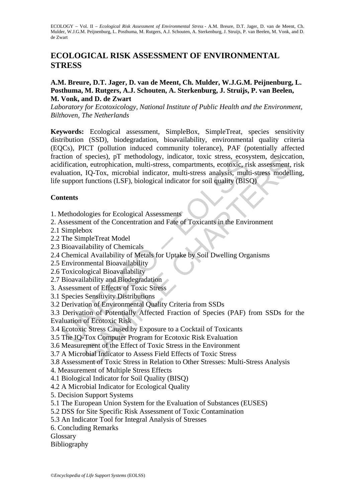# **ECOLOGICAL RISK ASSESSMENT OF ENVIRONMENTAL STRESS**

### **A.M. Breure, D.T. Jager, D. van de Meent, Ch. Mulder, W.J.G.M. Peijnenburg, L. Posthuma, M. Rutgers, A.J. Schouten, A. Sterkenburg, J. Struijs, P. van Beelen, M. Vonk, and D. de Zwart**

*Laboratory for Ecotoxicology, National Institute of Public Health and the Environment, Bilthoven, The Netherlands* 

The The Simple Theory and Scheme The Readers Constant Constrained Interpretentification, IQ-Tox, microbial indicator, multi-stress, constanting contoxic, ristingulation, IQ-Tox, microbial indicator, multi-stress analysis, species), p1 menodology, indicator<br>
and europhication, and this stress, compartments, ecotoxic, risk assessment,<br>
IQ-Tox, microbial indicator, multi-stress analysis, multi-stress model<br>
functions (LSF), biological indicato **Keywords:** Ecological assessment, SimpleBox, SimpleTreat, species sensitivity distribution (SSD), biodegradation, bioavailability, environmental quality criteria (EQCs), PICT (pollution induced community tolerance), PAF (potentially affected fraction of species), pT methodology, indicator, toxic stress, ecosystem, desiccation, acidification, eutrophication, multi-stress, compartments, ecotoxic, risk assessment, risk evaluation, IQ-Tox, microbial indicator, multi-stress analysis, multi-stress modelling, life support functions (LSF), biological indicator for soil quality (BISQ)

## **Contents**

1. Methodologies for Ecological Assessments

2. Assessment of the Concentration and Fate of Toxicants in the Environment

- 2.1 Simplebox
- 2.2 The SimpleTreat Model
- 2.3 Bioavailability of Chemicals
- 2.4 Chemical Availability of Metals for Uptake by Soil Dwelling Organisms
- 2.5 Environmental Bioavailability
- 2.6 Toxicological Bioavailability
- 2.7 Bioavailability and Biodegradation
- 3. Assessment of Effects of Toxic Stress
- 3.1 Species Sensitivity Distributions
- 3.2 Derivation of Environmental Quality Criteria from SSDs

3.3 Derivation of Potentially Affected Fraction of Species (PAF) from SSDs for the Evaluation of Ecotoxic Risk

- 3.4 Ecotoxic Stress Caused by Exposure to a Cocktail of Toxicants
- 3.5 The IQ-Tox Computer Program for Ecotoxic Risk Evaluation
- 3.6 Measurement of the Effect of Toxic Stress in the Environment
- 3.7 A Microbial Indicator to Assess Field Effects of Toxic Stress
- 3.8 Assessment of Toxic Stress in Relation to Other Stresses: Multi-Stress Analysis
- 4. Measurement of Multiple Stress Effects
- 4.1 Biological Indicator for Soil Quality (BISQ)
- 4.2 A Microbial Indicator for Ecological Quality
- 5. Decision Support Systems
- 5.1 The European Union System for the Evaluation of Substances (EUSES)
- 5.2 DSS for Site Specific Risk Assessment of Toxic Contamination
- 5.3 An Indicator Tool for Integral Analysis of Stresses
- 6. Concluding Remarks
- Glossary
- Bibliography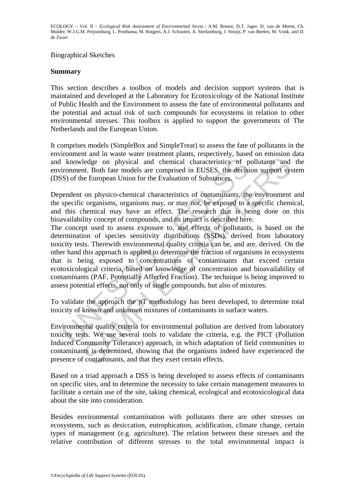#### Biographical Sketches

#### **Summary**

This section describes a toolbox of models and decision support systems that is maintained and developed at the Laboratory for Ecotoxicology of the National Institute of Public Health and the Environment to assess the fate of environmental pollutants and the potential and actual risk of such compounds for ecosystems in relation to other environmental stresses. This toolbox is applied to support the governments of The Netherlands and the European Union.

It comprises models (SimpleBox and SimpleTreat) to assess the fate of pollutants in the environment and in waste water treatment plants, respectively, based on emission data and knowledge on physical and chemical characteristics of pollutants and the environment. Both fate models are comprised in EUSES, the decision support system (DSS) of the European Union for the Evaluation of Substances.

Dependent on physico-chemical characteristics of contaminants, the environment and the specific organisms, organisms may, or may not, be exposed to a specific chemical, and this chemical may have an effect. The research that is being done on this bioavailability concept of compounds, and its impact is described here.

knowledge on physical and chemical characteristics of p<br>ironment. Both fate models are comprised in EUSES, the decisi<br>S) of the European Union for the Evaluation of Substances.<br>endent on physico-chemical characteristics o ledge on physical and chemical characteristics of pollutants and<br>ledge on physical and chemical characteristics of pollutants and<br>the Both fate models are comprised in EUSES, the decision support system<br>European Union for The concept used to assess exposure to, and effects of pollutants, is based on the determination of species sensitivity distributions (SSDs), derived from laboratory toxicity tests. Therewith environmental quality criteria can be, and are, derived. On the other hand this approach is applied to determine the fraction of organisms in ecosystems that is being exposed to concentrations of contaminants that exceed certain ecotoxicological criteria, based on knowledge of concentration and bioavailability of contaminants (PAF, Potentially Affected Fraction). The technique is being improved to assess potential effects, not only of single compounds, but also of mixtures.

To validate the approach the pT methodology has been developed, to determine total toxicity of known and unknown mixtures of contaminants in surface waters.

Environmental quality criteria for environmental pollution are derived from laboratory toxicity tests. We use several tools to validate the criteria, e.g. the PICT (Pollution Induced Community Tolerance) approach, in which adaptation of field communities to contaminants is determined, showing that the organisms indeed have experienced the presence of contaminants, and that they exert certain effects.

Based on a triad approach a DSS is being developed to assess effects of contaminants on specific sites, and to determine the necessity to take certain management measures to facilitate a certain use of the site, taking chemical, ecological and ecotoxicological data about the site into consideration.

Besides environmental contamination with pollutants there are other stresses on ecosystems, such as desiccation, eutrophication, acidification, climate change, certain types of management (e.g. agriculture). The relation between these stresses and the relative contribution of different stresses to the total environmental impact is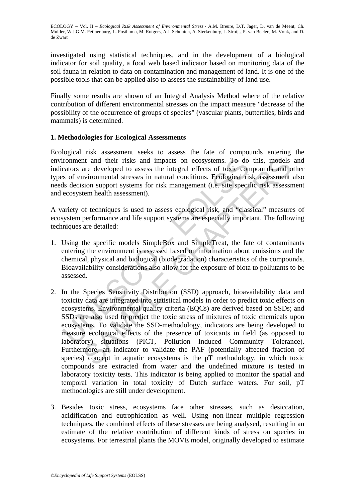investigated using statistical techniques, and in the development of a biological indicator for soil quality, a food web based indicator based on monitoring data of the soil fauna in relation to data on contamination and management of land. It is one of the possible tools that can be applied also to assess the sustainability of land use.

Finally some results are shown of an Integral Analysis Method where of the relative contribution of different environmental stresses on the impact measure "decrease of the possibility of the occurrence of groups of species" (vascular plants, butterflies, birds and mammals) is determined.

### **1. Methodologies for Ecological Assessments**

Ecological risk assessment seeks to assess the fate of compounds entering the environment and their risks and impacts on ecosystems. To do this, models and indicators are developed to assess the integral effects of toxic compounds and other types of environmental stresses in natural conditions. Ecological risk assessment also needs decision support systems for risk management (i.e. site specific risk assessment and ecosystem health assessment).

A variety of techniques is used to assess ecological risk, and "classical" measures of ecosystem performance and life support systems are especially important. The following techniques are detailed:

- 1. Using the specific models SimpleBox and SimpleTreat, the fate of contaminants entering the environment is assessed based on information about emissions and the chemical, physical and biological (biodegradation) characteristics of the compounds. Bioavailability considerations also allow for the exposure of biota to pollutants to be assessed.
- ir comment and their risks and impacts on ecosystems. To do<br>cators are developed to assess the integral effects of toxic con<br>so of environmental stresses in natural conditions. Ecological risk<br>ecosystem health assessment). nt and their risks and impacts on ecosystems. To do this, models<br>are developed to assess the integral effects of toxic compounds and cordinate<br>are developed to assess in antural conditions. Ecological risk assessment<br>ation 2. In the Species Sensitivity Distribution (SSD) approach, bioavailability data and toxicity data are integrated into statistical models in order to predict toxic effects on ecosystems. Environmental quality criteria (EQCs) are derived based on SSDs; and SSDs are also used to predict the toxic stress of mixtures of toxic chemicals upon ecosystems. To validate the SSD-methodology, indicators are being developed to measure ecological effects of the presence of toxicants in field (as opposed to laboratory) situations (PICT, Pollution Induced Community Tolerance). Furthermore, an indicator to validate the PAF (potentially affected fraction of species) concept in aquatic ecosystems is the pT methodology, in which toxic compounds are extracted from water and the undefined mixture is tested in laboratory toxicity tests. This indicator is being applied to monitor the spatial and temporal variation in total toxicity of Dutch surface waters. For soil, pT methodologies are still under development.
- 3. Besides toxic stress, ecosystems face other stresses, such as desiccation, acidification and eutrophication as well. Using non-linear multiple regression techniques, the combined effects of these stresses are being analysed, resulting in an estimate of the relative contribution of different kinds of stress on species in ecosystems. For terrestrial plants the MOVE model, originally developed to estimate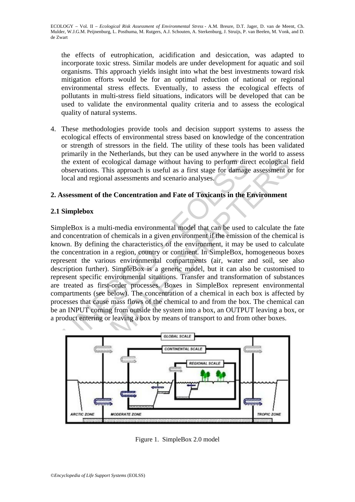the effects of eutrophication, acidification and desiccation, was adapted to incorporate toxic stress. Similar models are under development for aquatic and soil organisms. This approach yields insight into what the best investments toward risk mitigation efforts would be for an optimal reduction of national or regional environmental stress effects. Eventually, to assess the ecological effects of pollutants in multi-stress field situations, indicators will be developed that can be used to validate the environmental quality criteria and to assess the ecological quality of natural systems.

4. These methodologies provide tools and decision support systems to assess the ecological effects of environmental stress based on knowledge of the concentration or strength of stressors in the field. The utility of these tools has been validated primarily in the Netherlands, but they can be used anywhere in the world to assess the extent of ecological damage without having to perform direct ecological field observations. This approach is useful as a first stage for damage assessment or for local and regional assessments and scenario analyses.

### **2. Assessment of the Concentration and Fate of Toxicants in the Environment**

#### **2.1 Simplebox**

The extent of ecological damage without having to perform directly absorbed and regional assessments and scenario analyses.<br>
Sesessment of the Concentration and Fate of Toxicants in the E<br>
Simplebox<br>
sesessment of the Conc The state of ecological damage without having to perform direct ecological damage without having to perform direct ecological divisos. This approach is useful as a first stage for damage assessment of the Concentration and SimpleBox is a multi-media environmental model that can be used to calculate the fate and concentration of chemicals in a given environment if the emission of the chemical is known. By defining the characteristics of the environment, it may be used to calculate the concentration in a region, country or continent. In SimpleBox, homogeneous boxes represent the various environmental compartments (air, water and soil, see also description further). SimpleBox is a generic model, but it can also be customised to represent specific environmental situations. Transfer and transformation of substances are treated as first-order processes. Boxes in SimpleBox represent environmental compartments (see below). The concentration of a chemical in each box is affected by processes that cause mass flows of the chemical to and from the box. The chemical can be an INPUT coming from outside the system into a box, an OUTPUT leaving a box, or a product entering or leaving a box by means of transport to and from other boxes.



Figure 1. SimpleBox 2.0 model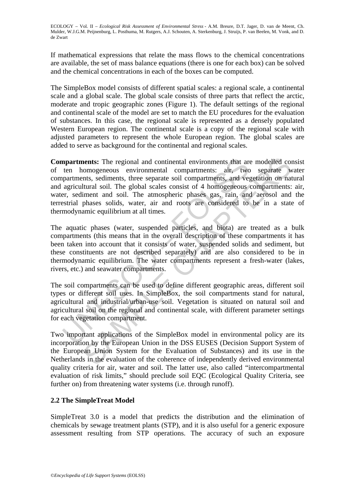If mathematical expressions that relate the mass flows to the chemical concentrations are available, the set of mass balance equations (there is one for each box) can be solved and the chemical concentrations in each of the boxes can be computed.

The SimpleBox model consists of different spatial scales: a regional scale, a continental scale and a global scale. The global scale consists of three parts that reflect the arctic, moderate and tropic geographic zones (Figure 1). The default settings of the regional and continental scale of the model are set to match the EU procedures for the evaluation of substances. In this case, the regional scale is represented as a densely populated Western European region. The continental scale is a copy of the regional scale with adjusted parameters to represent the whole European region. The global scales are added to serve as background for the continental and regional scales.

**npartments:** The regional and continental environments that are ten homogeneous environmental compartments: air, two partments, sediments, three separate soil compartments, and vear are represented and soil. The global sc nents: The regional and continental environments that are modelled conomogeneous environmental compartments: air, two separate subseculation of nature stations, sediments, that esparate soil compartments, and vegetation of **Compartments:** The regional and continental environments that are modelled consist of ten homogeneous environmental compartments: air, two separate water compartments, sediments, three separate soil compartments, and vegetation on natural and agricultural soil. The global scales consist of 4 homogeneous compartments: air, water, sediment and soil. The atmospheric phases gas, rain, and aerosol and the terrestrial phases solids, water, air and roots are considered to be in a state of thermodynamic equilibrium at all times.

The aquatic phases (water, suspended particles, and biota) are treated as a bulk compartments (this means that in the overall description of these compartments it has been taken into account that it consists of water, suspended solids and sediment, but these constituents are not described separately) and are also considered to be in thermodynamic equilibrium. The water compartments represent a fresh-water (lakes, rivers, etc.) and seawater compartments.

The soil compartments can be used to define different geographic areas, different soil types or different soil uses. In SimpleBox, the soil compartments stand for natural, agricultural and industrial/urban-use soil. Vegetation is situated on natural soil and agricultural soil on the regional and continental scale, with different parameter settings for each vegetation compartment.

Two important applications of the SimpleBox model in environmental policy are its incorporation by the European Union in the DSS EUSES (Decision Support System of the European Union System for the Evaluation of Substances) and its use in the Netherlands in the evaluation of the coherence of independently derived environmental quality criteria for air, water and soil. The latter use, also called "intercompartmental evaluation of risk limits," should preclude soil EQC (Ecological Quality Criteria, see further on) from threatening water systems (i.e. through runoff).

## **2.2 The SimpleTreat Model**

SimpleTreat 3.0 is a model that predicts the distribution and the elimination of chemicals by sewage treatment plants (STP), and it is also useful for a generic exposure assessment resulting from STP operations. The accuracy of such an exposure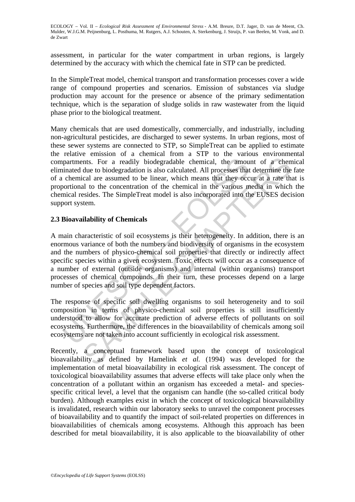assessment, in particular for the water compartment in urban regions, is largely determined by the accuracy with which the chemical fate in STP can be predicted.

In the SimpleTreat model, chemical transport and transformation processes cover a wide range of compound properties and scenarios. Emission of substances via sludge production may account for the presence or absence of the primary sedimentation technique*,* which is the separation of sludge solids in raw wastewater from the liquid phase prior to the biological treatment.

Many chemicals that are used domestically, commercially, and industrially, including non-agricultural pesticides, are discharged to sewer systems. In urban regions, most of these sewer systems are connected to STP, so SimpleTreat can be applied to estimate the relative emission of a chemical from a STP to the various environmental compartments. For a readily biodegradable chemical, the amount of a chemical eliminated due to biodegradation is also calculated. All processes that determine the fate of a chemical are assumed to be linear, which means that they occur at a rate that is proportional to the concentration of the chemical in the various media in which the chemical resides. The SimpleTreat model is also incorporated into the EUSES decision support system.

#### **2.3 Bioavailability of Chemicals**

partments. For a readily biodegradable chemical, the amoumated due to biodegradation is also calculated. All processes that chemical are assumed to be linear, which means that they occorrinoral to the concentration of the that S. For a readily biodegradable chemical, the amount of a chem<br>due to biodegradation is also calculated. All processes that determine the<br>cal are assumed to be linear, which means that they occur at a rate th.<br>Ial at A main characteristic of soil ecosystems is their heterogeneity. In addition, there is an enormous variance of both the numbers and biodiversity of organisms in the ecosystem and the numbers of physico-chemical soil properties that directly or indirectly affect specific species within a given ecosystem. Toxic effects will occur as a consequence of a number of external (outside organisms) and internal (within organisms) transport processes of chemical compounds. In their turn, these processes depend on a large number of species and soil type dependent factors.

The response of specific soil dwelling organisms to soil heterogeneity and to soil composition in terms of physico-chemical soil properties is still insufficiently understood to allow for accurate prediction of adverse effects of pollutants on soil ecosystems. Furthermore, the differences in the bioavailability of chemicals among soil ecosystems are not taken into account sufficiently in ecological risk assessment.

Recently, a conceptual framework based upon the concept of toxicological bioavailability as defined by Hamelink *et al.* (1994) was developed for the implementation of metal bioavailability in ecological risk assessment. The concept of toxicological bioavailability assumes that adverse effects will take place only when the concentration of a pollutant within an organism has exceeded a metal- and speciesspecific critical level, a level that the organism can handle (the so-called critical body burden). Although examples exist in which the concept of toxicological bioavailability is invalidated, research within our laboratory seeks to unravel the component processes of bioavailability and to quantify the impact of soil-related properties on differences in bioavailabilities of chemicals among ecosystems. Although this approach has been described for metal bioavailability, it is also applicable to the bioavailability of other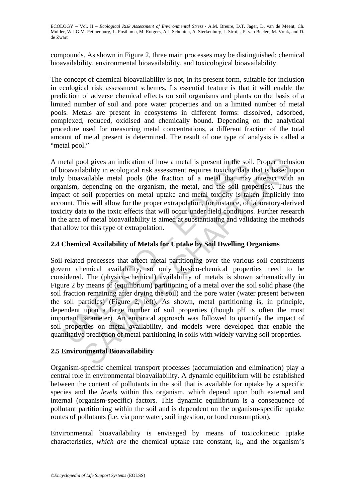compounds. As shown in Figure 2, three main processes may be distinguished: chemical bioavailability, environmental bioavailability, and toxicological bioavailability.

The concept of chemical bioavailability is not, in its present form, suitable for inclusion in ecological risk assessment schemes. Its essential feature is that it will enable the prediction of adverse chemical effects on soil organisms and plants on the basis of a limited number of soil and pore water properties and on a limited number of metal pools. Metals are present in ecosystems in different forms: dissolved, adsorbed, complexed, reduced, oxidised and chemically bound. Depending on the analytical procedure used for measuring metal concentrations, a different fraction of the total amount of metal present is determined. The result of one type of analysis is called a "metal pool."

A metal pool gives an indication of how a metal is present in the soil. Proper inclusion of bioavailability in ecological risk assessment requires toxicity data that is based upon truly bioavailable metal pools (the fraction of a metal that may interact with an organism, depending on the organism, the metal, and the soil properties)*.* Thus the impact of soil properties on metal uptake and metal toxicity is taken implicitly into account. This will allow for the proper extrapolation, for instance, of laboratory-derived toxicity data to the toxic effects that will occur under field conditions. Further research in the area of metal bioavailability is aimed at substantiating and validating the methods that allow for this type of extrapolation.

## **2.4 Chemical Availability of Metals for Uptake by Soil Dwelling Organisms**

head pool gives an indication of how a metal is present in the soie coincil and y bioavailability in ecological risk assessment requires toxicity data y bioavailable metal pools (the fraction of a metal that may mism, depe ol gives an indication of how a metal is present in the soil. Proper inclusibility in ecological risk assessment requires toxicity data that is based valiable metal pools (the fraction of a metal that may interact with dep Soil-related processes that affect metal partitioning over the various soil constituents govern chemical availability, so only physico-chemical properties need to be considered. The (physico-chemical) availability of metals is shown schematically in Figure 2 by means of (equilibrium) partitioning of a metal over the soil solid phase (the soil fraction remaining after drying the soil) and the pore water (water present between the soil particles) (Figure 2, left). As shown, metal partitioning is, in principle, dependent upon a large number of soil properties (though pH is often the most important parameter). An empirical approach was followed to quantify the impact of soil properties on metal availability, and models were developed that enable the quantitative prediction of metal partitioning in soils with widely varying soil properties.

## **2.5 Environmental Bioavailability**

Organism-specific chemical transport processes (accumulation and elimination) play a central role in environmental bioavailability. A dynamic equilibrium will be established between the content of pollutants in the soil that is available for uptake by a specific species and the *levels* within this organism, which depend upon both external and internal (organism-specific) factors. This dynamic equilibrium is a consequence of pollutant partitioning within the soil and is dependent on the organism-specific uptake routes of pollutants (i.e. via pore water, soil ingestion, or food consumption).

Environmental bioavailability is envisaged by means of toxicokinetic uptake characteristics, *which are* the chemical uptake rate constant,  $k_1$ , and the organism's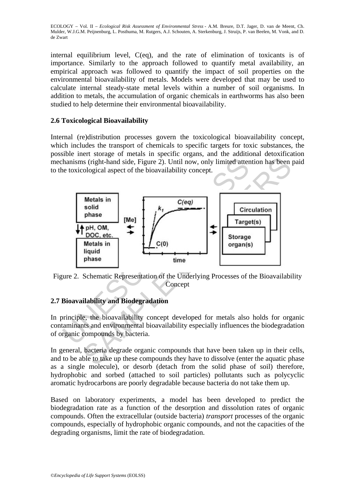internal equilibrium level, C(eq), and the rate of elimination of toxicants is of importance. Similarly to the approach followed to quantify metal availability, an empirical approach was followed to quantify the impact of soil properties on the environmental bioavailability of metals. Models were developed that may be used to calculate internal steady-state metal levels within a number of soil organisms. In addition to metals, the accumulation of organic chemicals in earthworms has also been studied to help determine their environmental bioavailability.

## **2.6 Toxicological Bioavailability**

Internal (re)distribution processes govern the toxicological bioavailability concept, which includes the transport of chemicals to specific targets for toxic substances, the possible inert storage of metals in specific organs, and the additional detoxification mechanisms (right-hand side, Figure 2). Until now, only limited attention has been paid to the toxicological aspect of the bioavailability concept.



Figure 2. Schematic Representation of the Underlying Processes of the Bioavailability **Concept** 

## **2.7 Bioavailability and Biodegradation**

In principle, the bioavailability concept developed for metals also holds for organic contaminants and environmental bioavailability especially influences the biodegradation of organic compounds by bacteria.

In general, bacteria degrade organic compounds that have been taken up in their cells, and to be able to take up these compounds they have to dissolve (enter the aquatic phase as a single molecule), or desorb (detach from the solid phase of soil) therefore, hydrophobic and sorbed (attached to soil particles) pollutants such as polycyclic aromatic hydrocarbons are poorly degradable because bacteria do not take them up.

Based on laboratory experiments, a model has been developed to predict the biodegradation rate as a function of the desorption and dissolution rates of organic compounds. Often the extracellular (outside bacteria) *transport* processes of the organic compounds, especially of hydrophobic organic compounds, and not the capacities of the degrading organisms, limit the rate of biodegradation.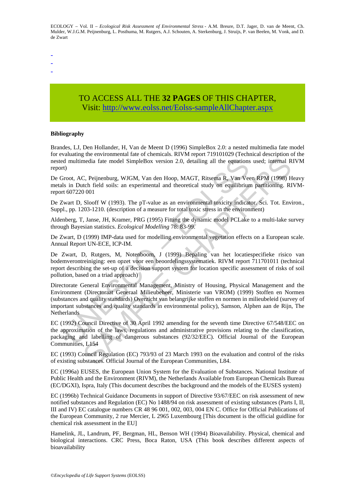-

- -

# TO ACCESS ALL THE **32 PAGES** OF THIS CHAPTER, Visi[t: http://www.eolss.net/Eolss-sampleAllChapter.aspx](https://www.eolss.net/ebooklib/sc_cart.aspx?File=E1-08-13)

#### **Bibliography**

Brandes, LJ, Den Hollander, H, Van de Meent D (1996) SimpleBox 2.0: a nested multimedia fate model for evaluating the environmental fate of chemicals. RIVM report 719101029 (Technical description of the nested multimedia fate model SimpleBox version 2.0, detailing all the equations used; internal RIVM report)

De Groot, AC, Peijnenburg, WJGM, Van den Hoop, MAGT, Ritsema R, Van Veen RPM (1998) Heavy metals in Dutch field soils: an experimental and theoretical study on equilibrium partitioning. RIVMreport 607220 001

De Zwart D, Slooff W (1993). The pT-value as an environmental toxicity indicator. Sci. Tot. Environ., Suppl., pp. 1203-1210. (description of a measure for total toxic stress in the environment)

Aldenberg, T, Janse, JH, Kramer, PRG (1995) Fitting the dynamic model PCLake to a multi-lake survey through Bayesian statistics. *Ecological Modelling* 78: 83-99.

De Zwart, D (1999) IMP-data used for modelling environmental vegetation effects on a European scale. Annual Report UN-ECE, ICP-IM.

De Zwart, D, Rutgers, M, Notenboom, J (1999) Bepaling van het locatiespecifieke risico van bodemverontreiniging: een opzet voor een beoordelingssystematiek. RIVM report 711701011 (technical report describing the set-up of a decision support system for location specific assessment of risks of soil pollution, based on a triad approach)

d multimedia fate model SimpleBox version 2.0, detailing all the equations<br>
(r)<br>
(r)<br>
(r)<br>
(r)<br>
(r) Sirocot, AC, Peijnenburg, WJGM, Van den Hoop, MAGT, Ritsema R, Van Vec<br>
1s in Dutch field soils: an experimental and theor structure and Miletion 2012 (1999). The principal and the equations used; internal R<br>c, Peijnenburg, WJGM, Van den Hoop, MAGT, Ritserna R, Van Veen RPM (1998) H<br>ctch field soils: an experimental and theoretical study on eq Directorate General Environmental Management, Ministry of Housing, Physical Management and the Environment (Directoraat Generaal Milieubeheer, Ministerie van VROM) (1999) Stoffen en Normen (substances and quality standards) Overzicht van belangrijke stoffen en normen in milieubeleid (survey of important substances and quality standards in environmental policy), Samson, Alphen aan de Rijn, The Netherlands

EC (1992) Council Directive of 30 April 1992 amending for the seventh time Directive 67/548/EEC on the approximation of the laws, regulations and administrative provisions relating to the classification, packaging and labelling of dangerous substances (92/32/EEC). Official Journal of the European Communities, L154

EC (1993) Council Regulation (EC) 793/93 of 23 March 1993 on the evaluation and control of the risks of existing substances. Official Journal of the European Communities, L84.

EC (1996a) EUSES, the European Union System for the Evaluation of Substances. National Institute of Public Health and the Environment (RIVM), the Netherlands Available from European Chemicals Bureau (EC/DGXI), Ispra, Italy (This document describes the background and the models of the EUSES system)

EC (1996b) Technical Guidance Documents in support of Directive 93/67/EEC on risk assessment of new notified substances and Regulation (EC) No 1488/94 on risk assessment of existing substances (Parts I, II, III and IV) EC catalogue numbers CR 48 96 001, 002, 003, 004 EN C. Office for Official Publications of the European Community, 2 rue Mercier, L 2965 Luxembourg [This document is the official guidline for chemical risk assessment in the EU]

Hamelink, JL, Landrum, PF, Bergman, HL, Benson WH (1994) Bioavailability. Physical, chemical and biological interactions. CRC Press, Boca Raton, USA (This book describes different aspects of bioavailability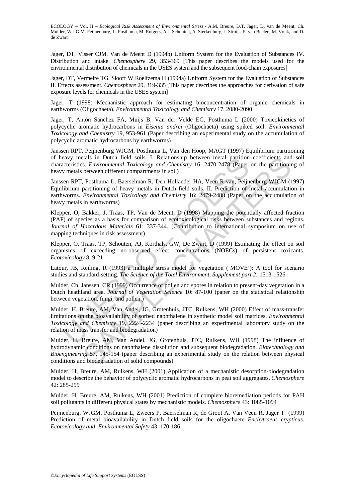Jager, DT, Visser CJM, Van de Meent D (1994b) Uniform System for the Evaluation of Substances IV. Distribution and intake. *Chemosphere* 29, 353-369 [This paper describes the models used for the environmental distribution of chemicals in the USES system and the subsequent food-chain exposures]

Jager, DT, Vermeire TG, Slooff W Roelfzema H (1994a) Uniform System for the Evaluation of Substances II. Effects assessment. *Chemosphere* 29, 319-335 [This paper describes the approaches for derivation of safe exposure levels for chemicals in the USES system]

Jager, T (1998) Mechanistic approach for estimating bioconcentration of organic chemicals in earthworms (Oligochaeta). *Environmental Toxicology and Chemistry* 17, 2080-2090

Jager, T, Antón Sánchez FA, Muijs B, Van der Velde EG, Posthuma L (2000) Toxicokinetics of polycyclic aromatic hydrocarbons in *Eisenia andrei* (Oligochaeta) using spiked soil. *Environmental Toxicology and Chemistry* 19, 953-961 (Paper describing an experimental study on the accumulation of polycyclic aromatic hydrocarbons by earthworms)

Janssen RPT, Peijnenburg WJGM, Posthuma L, Van den Hoop, MAGT (1997) Equilibrium partitioning of heavy metals in Dutch field soils. I. Relationship between metal partition coefficients and soil characteristics. *Environmental Toxicology and Chemistry* 16: 2470-2478 (Paper on the partitioning of heavy metals between different compartments in soil)

eavy metals in Dutch held soist. I. Relationship between metal partition<br>acteristics. *Environmental Toxicology and Chemistry* 16: 2470-2478 (Paper<br>y metals between different compartments in soil)<br>sen RPT, Posthuma L, Baer relation Duch field soils. I. Relationship between metal partition coefficients and Duch field soils. I. Relationship between different compartments in soil)<br>
B. Environmental Toxicology and Chemistry 16: 2470-2478 (Paper Janssen RPT, Posthuma L, Baerselman R, Den Hollander HA, Veen R van, Peijnenburg WJGM (1997) Equilibrium partitioning of heavy metals in Dutch field soils. II. Prediction of metal accumulation in earthworms. *Environmental Toxicology and Chemistry* 16: 2479-2488 (Paper on the accumulation of heavy metals in earthworms)

Klepper, O, Bakker, J, Traas, TP, Van de Meent, D (1998) Mapping the potentially affected fraction (PAF) of species as a basis for comparison of ecotoxicological risks between substances and regions. *Journal of Hazardous Materials* 61: 337-344. (Contribution to international symposium on use of mapping techniques in risk assessment)

Klepper, O, Traas, TP, Schouten, AJ, Korthals, GW, De Zwart, D (1999) Estimating the effect on soil organisms of exceeding no-observed effect concentrations (NOECs) of persistent toxicants. *Ecotoxicology* 8, 9-21

Latour, JB, Reiling, R (1993) a multiple stress model for vegetation ('MOVE'): A tool for scenario studies and standard-setting. *The Science of the Totel Environment, Supplement part 2:* 1513-1526

Mulder, Ch, Janssen, CR (1999) Occurrence of pollen and spores in relation to present-day vegetation in a Dutch heathland area. *Journal of Vegetation Science* 10: 87-100 (paper on the statistical relationship between vegetation, fungi, and pollen.)

Mulder, H, Breure, AM, Van Andel, JG, Grotenhuis, JTC, Rulkens, WH (2000) Effect of mass-transfer limitations on the bioavailability of sorbed naphthalene in synthetic model soil matrices. *Environmental Toxicology and Chemistry* 19, 2224-2234 (paper describing an experimental laboratory study on the relation of mass transfer and biodegradation)

Mulder, H, Breure, AM, Van Andel, JG, Grotenhuis, JTC, Rulkens, WH (1998) The influence of hydrodynamic conditions on naphthalene dissolution and subsequent biodegradation. *Biotechnology and Bioengineering* 57, 145-154 (paper describing an experimental study on the relation between physical conditions and biodegradation of solid compounds)

Mulder, H, Breure, AM, Rulkens, WH (2001) Application of a mechanistic desorption-biodegradation model to describe the behavior of polycyclic aromatic hydrocarbons in peat soil aggregates. *Chemosphere*  42: 285-299

Mulder, H, Breure, AM, Rulkens, WH (2001) Prediction of complete bioremediation periods for PAH soil pollutants in different physical states by mechanistic models. *Chemosphere* 43: 1085-1094

Peijnenburg, WJGM, Posthuma L, Zweers P, Baerselman R, de Groot A, Van Veen R, Jager T (1999) Prediction of metal bioavailability in Dutch field soils for the oligochaete *Enchytraeus crypticus*. *Ecotoxicology and Environmental Safety* 43: 170-186,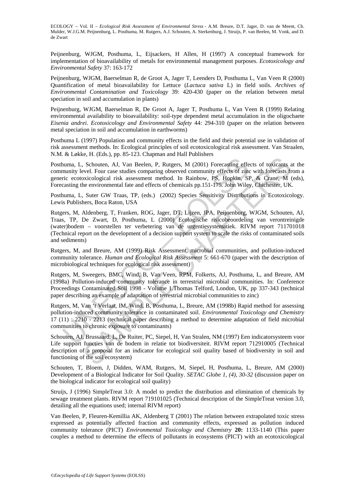Peijnenburg, WJGM, Posthuma, L, Eijsackers, H Allen, H (1997) A conceptual framework for implementation of bioavailability of metals for environmental management purposes. *Ecotoxicology and Environmental Safety* 37: 163-172

Peijnenburg, WJGM, Baerselman R, de Groot A, Jager T, Leenders D, Posthuma L, Van Veen R (2000) Quantification of metal bioavailability for Lettuce (*Lactuca sativa* L) in field soils. *Archives of Environmental Contamination and Toxicology* 39: 420-430 (paper on the relation between metal speciation in soil and accumulation in plants)

Peijnenburg, WJGM, Baerselman R, De Groot A, Jager T, Posthuma L, Van Veen R (1999) Relating environmental availability to bioavailability: soil-type dependent metal accumulation in the oligochaete *Eisenia andrei*. *Ecotoxicology and Environmental Safety* 44: 294-310 (paper on the relation between metal speciation in soil and accumulation in earthworms)

Posthuma L (1997) Population and community effects in the field and their potential use in validation of risk assessment methods. In: Ecological principles of soil ecotoxicological risk assessment. Van Straalen, N.M. & Løkke, H. (Eds.), pp. 85-123. Chapman and Hall Publishers

Posthuma, L, Schouten, AJ, Van Beelen, P, Rutgers, M (2001) Forecasting effects of toxicants at the community level. Four case studies comparing observed community effects of zinc with forecasts from a generic ecotoxicological risk assessment method. In Rainbow, PS, Hopkin, SP, & Crane, M (eds), Forecasting the environmental fate and effects of chemicals pp.151-175. John Wiley, Chichester, UK.

Posthuma, L, Suter GW Traas, TP, (eds.) (2002) Species Sensitivity Distributions in Ecotoxicology. Lewis Publishers, Boca Raton, USA

numa, L, Schouten, AJ, Van Beelen, P, Rutgers, M (2001) Forecasting effermunity level. Four case studies comparing observed community effects of zincic ecotoxicological risk assessment method. In Rainbow, PS, Hopkin, SE as Theorem Felt Schouten, AJ, Van Beelen, P, Rutgers, M (2001) Forecasting effects of toxicants and sevel. Four case studies comparing observed community effects of zinc with forecasts from evolucy and this assessment method. Rutgers, M, Aldenberg, T, Franken, ROG, Jager, DT, Lijzen, JPA, Peijnenburg, WJGM, Schouten, AJ, Traas, TP, De Zwart, D, Posthuma, L (2000) Ecologische risicobeoordeling van verontreinigde (water)bodem – voorstellen ter verbetering van de urgentiesystematiek. RIVM report 711701018 (Technical report on the development of a decision support system to scale the risks of contaminated soils and sediments)

Rutgers, M, and Breure, AM (1999) Risk Assessment, microbial communities, and pollution-induced community tolerance. *Human and Ecological Risk Assessment* 5: 661-670 (paper with the description of microbiological techniques for ecological risk assessment)

Rutgers, M, Sweegers, BMC, Wind, B, Van Veen, RPM, Folkerts, AJ, Posthuma, L, and Breure, AM (1998a) Pollution-induced community tolerance in terrestrial microbial communities. In: Conference Proceedings Contaminated Soil 1998 - Volume 1.Thomas Telford, London, UK, pp 337-343 (technical paper describing an example of adaptation of terrestrial microbial communities to zinc)

Rutgers, M, Van 't Verlaat, IM, Wind, B, Posthuma, L, Breure, AM (1998b) Rapid method for assessing pollution-induced community tolerance in contaminated soil. *Environmental Toxicology and Chemistry* 17 (11) : 2210 - 2213 (technical paper describing a method to determine adaptation of field microbial communities to chronic exposure to contaminants)

Schouten, AJ, Brussaard, L, De Ruiter, PC, Siepel, H, Van Stralen, NM (1997) Een indicatorsysteem voor Life support functies van de bodem in relatie tot biodiversiteit. RIVM report 712910005 (Technical description of a proposal for an indicator for ecological soil quality based of biodiversity in soil and functioning of the soil ecosystem)

Schouten, T, Bloem, J, Didden, WAM, Rutgers, M, Siepel, H, Posthuma, L, Breure, AM (2000) Development of a Biological Indicator for Soil Quality. *SETAC Globe 1, (4), 30-32* (discussion paper on the biological indicator for ecological soil quality)

Struijs, J (1996) SimpleTreat 3.0: A model to predict the distribution and elimination of chemicals by sewage treatment plants. RIVM report 719101025 (Technical description of the SimpleTreat version 3.0, detailing all the equations used; internal RIVM report)

Van Beelen, P, Fleuren-Kemillia AK, Aldenberg T (2001) The relation between extrapolated toxic stress expressed as potentially affected fraction and community effects, expressed as pollution induced community tolerance (PICT) *Environmental Toxicology and Chemistry* **20:** 1133-1140 (This paper couples a method to determine the effects of pollutants in ecosystems (PICT) with an ecotoxicological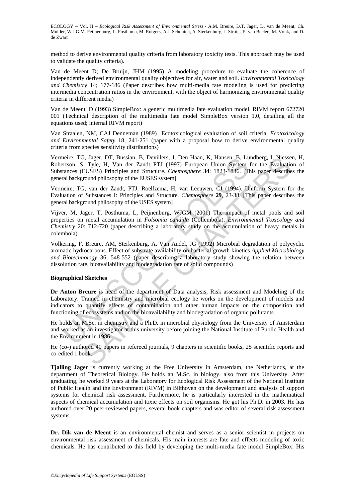method to derive environmental quality criteria from laboratory toxicity tests. This approach may be used to validate the quality criteria).

Van de Meent D; De Bruijn, JHM (1995) A modeling procedure to evaluate the coherence of independently derived environmental quality objectives for air, water and soil. *Environmental Toxicology and Chemistry* 14; 177-186 (Paper describes how multi-media fate modeling is used for predicting intermedia concentration ratios in the environment, with the object of harmonizing environmental quality criteria in different media)

Van de Meent, D (1993) SimpleBox: a generic multimedia fate evaluation model. RIVM report 672720 001 (Technical description of the multimedia fate model SimpleBox version 1.0, detailing all the equations used; internal RIVM report)

Van Straalen, NM, CAJ Denneman (1989) Ecotoxicological evaluation of soil criteria. *Ecotoxicology and Environmental Safety* 18, 241-251 (paper with a proposal how to derive environmental quality criteria from species sensitivity distributions)

Vermeire, TG, Jager, DT, Bussian, B, Devillers, J, Den Haan, K, Hansen, B, Lundberg, I, Niessen, H, Robertson, S, Tyle, H, Van der Zandt PTJ (1997) European Union System for the Evaluation of Substances (EUSES) Principles and Structure. *Chemosphere* **34**: 1823-1836. [This paper describes the general background philosophy of the EUSES system]

Vermeire, TG, van der Zandt, PTJ, Roelfzema, H, van Leeuwen, CJ (1994). Uniform System for the Evaluation of Substances I: Principles and Structure. *Chemosphere* **29**, 23-38. [This paper describes the general background philosophy of the USES system]

Vijver, M, Jager, T, Posthuma, L, Peijnenburg, WJGM (2001) The impact of metal pools and soil properties on metal accumulation in *Folsomia candida* (Collembola). *Environmental Toxicology and Chemistry* 20: 712-720 (paper describing a laboratory study on the accumulation of heavy metals in colembola)

neure, 1G. Jager, DJ. Bussann, B. Devillers, J. Den Haan, K., Hansen, B. Lune<br>erston, S. Tyle, H. Van der Zandt PTJ (1997) European Union System<br>tances (EUSES) Principles and Structure. *Chemosphere* 34: 1823-1836. [The la 3, Jager, DT, Bussian, B, Devillers, J, Den Haan, K, Hansen, B, Lundberg, I, Nessen, D, Then, Hays, T, Den Haan, K, Hansen, B, Lundberg, I, Niessen<br>EUSES) Principles and Structure. *Chemosphere* 34: 1823-1836. (This paper Volkering, F, Breure, AM, Sterkenburg, A, Van Andel, JG (1992) Microbial degradation of polycyclic aromatic hydrocarbons. Effect of substrate availability on bacterial growth kinetics *Applied Microbiology and Biotechnology* 36, 548-552 (paper describing a laboratory study showing the relation between dissolution rate, bioavailability and biodegradation rate of solid compounds)

#### **Biographical Sketches**

**Dr Anton Breure** is head of the department of Data analysis, Risk assessment and Modeling of the Laboratory. Trained in chemistry and microbial ecology he works on the development of models and indicators to quantify effects of contamination and other human impacts on the composition and functioning of ecosystems and on the bioavailability and biodegradation of organic pollutants.

He holds an M.Sc. in chemistry and a Ph.D. in microbial physiology from the University of Amsterdam and worked as an investigator at this university before joining the National Institute of Public Health and the Environment in 1986.

He (co-) authored 40 papers in refereed journals, 9 chapters in scientific books, 25 scientific reports and co-edited 1 book.

**Tjalling Jager** is currently working at the Free University in Amsterdam, the Netherlands, at the department of Theoretical Biology. He holds an M.Sc. in biology, also from this University. After graduating, he worked 9 years at the Laboratory for Ecological Risk Assessment of the National Institute of Public Health and the Environment (RIVM) in Bilthoven on the development and analysis of support systems for chemical risk assessment. Furthermore, he is particularly interested in the mathematical aspects of chemical accumulation and toxic effects on soil organisms. He got his Ph.D. in 2003. He has authored over 20 peer-reviewed papers, several book chapters and was editor of several risk assessment systems.

Dr. Dik van de Meent is an environmental chemist and serves as a senior scientist in projects on environmental risk assessment of chemicals. His main interests are fate and effects modeling of toxic chemicals. He has contributed to this field by developing the multi-media fate model SimpleBox. His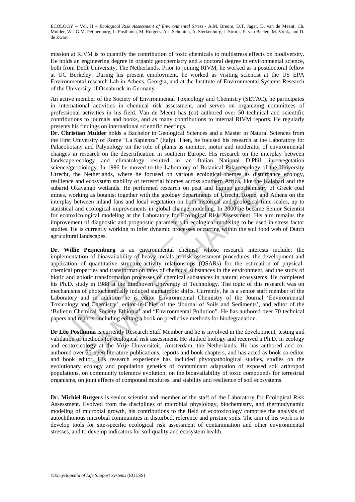mission at RIVM is to quantify the contribution of toxic chemicals to multistress effects on biodiversity. He holds an engineering degree in organic geochemistry and a doctoral degree in environmental science, both from Delft University, The Netherlands. Prior to joining RIVM, he worked as a postdoctoral fellow at UC Berkeley. During his present employment, he worked as visiting scientist at the US EPA Environmental research Lab in Athens, Georgia, and at the Institute of Environmental Systems Research of the University of Osnabrück in Germany.

An active member of the Society of Environmental Toxicology and Chemistry (SETAC), he participates in international activities in chemical risk assessment, and serves on organizing committees of professional activities in his field. Van de Meent has (co) authored over 50 technical and scientific contributions to journals and books, and as many contributions to internal RIVM reports. He regularly presents his findings on international scientific meetings.

cape-ecology and climatology resulted in an Italian National D<br>Cace/geobiology. In 1996 he moved to the Laboratory of Botanical Palaeoeco/geobiology. In 1996 he moved to the Laboratory of Botanical Palaeoeco/geobioley. Her ology and climatology resulted in an Italian National D.Phil. in veget<br>ology and climatology resulted in an Italian National D.Phil. in veget<br>ology. In 1996 he moved to the Laboratory of Botanical Palaeoscology of the Univ **Dr. Christian Mulder** holds a Bachelor in Geological Sciences and a Master in Natural Sciences from the First University of Rome "La Sapienza" (Italy). Then, he focused his research at the Laboratory for Palaeobotany and Palynology on the role of plants as monitor, motor and moderator of environmental changes in research on the desertification in southern Europe. His research on the interplay between landscape-ecology and climatology resulted in an Italian National D.Phil. in vegetation science/geobiology. In 1996 he moved to the Laboratory of Botanical Palaeoecology of the University Utrecht, the Netherlands, where he focused on various ecological themes as disturbance ecology, resilience and ecosystem stability of terrestrial biomes across southern Africa, like the Kalahari and the subarid Okavango wetlands. He performed research on peat and lignine geochemistry of Greek coal mines, working as botanist together with the geology departments of Utrecht, Rome, and Athens on the interplay between inland fans and local vegetation on both historical and geological time-scales, up to statistical and ecological improvements in global change modeling. In 2000 he became Senior Scientist for ecotoxicological modeling at the Laboratory for Ecological Risk Assessment. His aim remains the improvement of diagnostic and prognostic parameters in ecological modeling to be used in stress factor studies. He is currently working to infer dynamic processes occurring within the soil food web of Dutch agricultural landscapes.

**Dr. Willie Peijnenburg** is an environmental chemist, whose research interests include: the implementation of bioavailability of heavy metals in risk assessment procedures, the development and application of quantitative structure-activity relationships (QSARs) for the estimation of physicalchemical properties and transformation rates of chemical substances in the environment, and the study of biotic and abiotic transformation processes of chemical substances in natural ecosystems. He completed his Ph.D. study in 1988 at the Eindhoven University of Technology. The topic of this research was on mechanisms of photochemically induced sigmatropic shifts. Currently, he is a senior staff member of the Laboratory and in addition he is editor Environmental Chemistry of the Journal 'Environmental Toxicology and Chemistry', editor-in-Chief of the 'Journal of Soils and Sediments', and editor of the 'Bulletin Chemical Society Ethiopia' and "Environmental Pollution". He has authored over 70 technical papers and reports, including editing a book on predictive methods for biodegradation.

**Dr Leo Posthuma** is currently Research Staff Member and he is involved in the development, testing and validation of methods for ecological risk assessment. He studied biology and received a Ph.D. in ecology and ecotoxicology at the Vrije Universiteit, Amsterdam, the Netherlands. He has authored and coauthored over 75 open literature publications, reports and book chapters, and has acted as book co-editor and book editor. His research experience has included phytopathological studies, studies on the evolutionary ecology and population genetics of contaminant adaptation of exposed soil arthropod populations, on community tolerance evolution, on the bioavailability of toxic compounds for terrestrial organisms, on joint effects of compound mixtures, and stability and resilience of soil ecosystems.

**Dr. Michiel Rutgers** is senior scientist and member of the staff of the Laboratory for Ecological Risk Assessment. Evolved from the disciplines of microbial physiology, biochemistry, and thermodynamic modeling of microbial growth, his contributions to the field of ecotoxicology comprise the analysis of autochthonous microbial communities in disturbed, reference and pristine soils. The aim of his work is to develop tools for site-specific ecological risk assessment of contamination and other environmental stresses, and to develop indicators for soil quality and ecosystem health.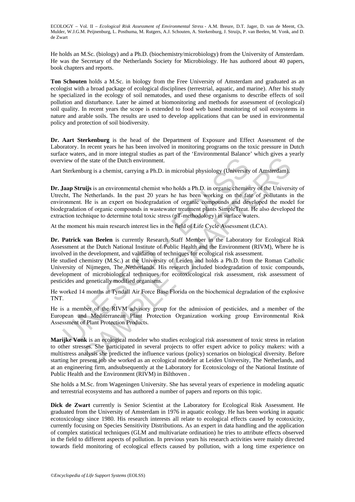He holds an M.Sc. (biology) and a Ph.D. (biochemistry/microbiology) from the University of Amsterdam. He was the Secretary of the Netherlands Society for Microbiology. He has authored about 40 papers, book chapters and reports.

**Ton Schouten** holds a M.Sc. in biology from the Free University of Amsterdam and graduated as an ecologist with a broad package of ecological disciplines (terrestrial, aquatic, and marine). After his study he specialized in the ecology of soil nematodes, and used these organisms to describe effects of soil pollution and disturbance. Later he aimed at biomonitoring and methods for assessment of (ecological) soil quality. In recent years the scope is extended to food web based monitoring of soil ecosystems in nature and arable soils. The results are used to develop applications that can be used in environmental policy and protection of soil biodiversity.

**Dr. Aart Sterkenburg** is the head of the Department of Exposure and Effect Assessment of the Laboratory. In recent years he has been involved in monitoring programs on the toxic pressure in Dutch surface waters, and in more integral studies as part of the 'Environmental Balance' which gives a yearly overview of the state of the Dutch environment.

Aart Sterkenburg is a chemist, carrying a Ph.D. in microbial physiology (University of Amsterdam).

view of the state of the Dutch environment.<br>
Sterkenburg is a chemist, carrying a Ph.D. in microbial physiology (University<br> **Jaap Struijs** is an environmental chemist who holds a Ph.D. in organic chemist<br>
h.ht, The Nether the state of the Dutch environment.<br>
the state of the Dutch environment.<br>
burg is a chemist, carrying a Ph.D. in microbial physiology (University of Amsterdam).<br> **uitjs** is an environmental chemist who holds a Ph.D. in org **Dr. Jaap Struijs** is an environmental chemist who holds a Ph.D. in organic chemistry of the University of Utrecht, The Netherlands. In the past 20 years he has been working on the fate of pollutants in the environment. He is an expert on biodegradation of organic compounds and developed the model for biodegradation of organic compounds in wastewater treatment plants SimpleTreat. He also developed the extraction technique to determine total toxic stress (pT-methodology) in surface waters.

At the moment his main research interest lies in the field of Life Cycle Assessment (LCA).

**Dr. Patrick van Beelen** is currently Research Staff Member in the Laboratory for Ecological Risk Assessment at the Dutch National Institute of Public Health and the Environment (RIVM), Where he is involved in the development, and validation of techniques for ecological risk assessment.

He studied chemistry (M.Sc.) at the University of Leiden and holds a Ph.D. from the Roman Catholic University of Nijmegen, The Netherlands. His research included biodegradation of toxic compounds, development of microbiological techniques for ecotoxicological risk assessment, risk assessment of pesticides and genetically modified organisms.

He worked 14 months at Tyndall Air Force Base Florida on the biochemical degradation of the explosive TNT.

He is a member of the RIVM advisory group for the admission of pesticides, and a member of the European and Mediterranean Plant Protection Organization working group Environmental Risk Assessment of Plant Protection Products.

**Marijke Vonk** is an ecological modeler who studies ecological risk assessment of toxic stress in relation to other stresses. She participated in several projects to offer expert advice to policy makers: with a multistress analysis she predicted the influence various (policy) scenarios on biological diversity. Before starting her present job she worked as an ecological modeler at Leiden University, The Netherlands, and at an engineering firm, andsubsequently at the Laboratory for Ecotoxicology of the National Institute of Public Health and the Environment (RIVM) in Bilthoven .

She holds a M.Sc. from Wageningen University. She has several years of experience in modeling aquatic and terrestrial ecosystems and has authored a number of papers and reports on this topic.

**Dick de Zwart** currently is Senior Scientist at the Laboratory for Ecological Risk Assessment. He graduated from the University of Amsterdam in 1976 in aquatic ecology. He has been working in aquatic ecotoxicology since 1980. His research interests all relate to ecological effects caused by ecotoxicity, currently focusing on Species Sensitivity Distributions. As an expert in data handling and the application of complex statistical techniques (GLM and multivariate ordination) he tries to attribute effects observed in the field to different aspects of pollution. In previous years his research activities were mainly directed towards field monitoring of ecological effects caused by pollution, with a long time experience on